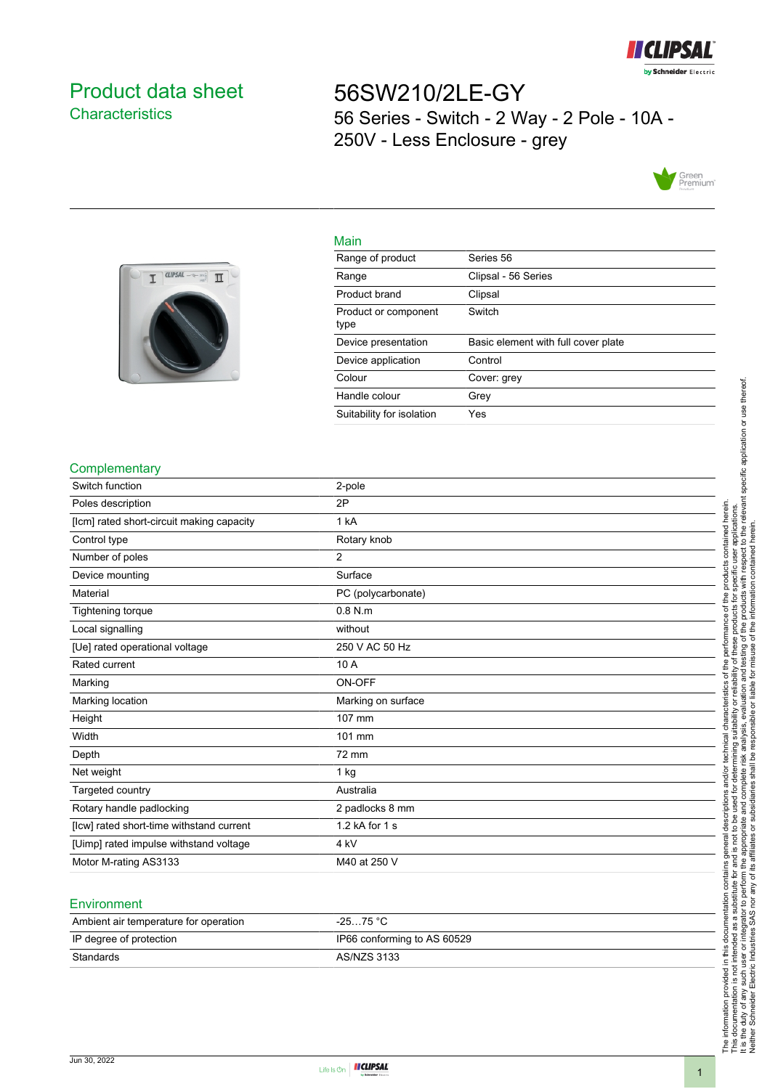

# <span id="page-0-0"></span>Product data sheet **Characteristics**

56SW210/2LE-GY 56 Series - Switch - 2 Way - 2 Pole - 10A - 250V - Less Enclosure - grey





| Main             |             |
|------------------|-------------|
| Range of product | Series 56   |
| Range            | Clipsal - 5 |

| Range                        | Clipsal - 56 Series                 |
|------------------------------|-------------------------------------|
| Product brand                | Clipsal                             |
| Product or component<br>type | Switch                              |
| Device presentation          | Basic element with full cover plate |
| Device application           | Control                             |
| Colour                       | Cover: grey                         |
| Handle colour                | Grev                                |
| Suitability for isolation    | Yes                                 |

#### **Complementary**

| Switch function                           | 2-pole             |
|-------------------------------------------|--------------------|
| Poles description                         | 2P                 |
| [lcm] rated short-circuit making capacity | 1 kA               |
| Control type                              | Rotary knob        |
| Number of poles                           | 2                  |
| Device mounting                           | Surface            |
| Material                                  | PC (polycarbonate) |
| Tightening torque                         | $0.8$ N.m          |
| Local signalling                          | without            |
| [Ue] rated operational voltage            | 250 V AC 50 Hz     |
| Rated current                             | 10 A               |
| Marking                                   | ON-OFF             |
| Marking location                          | Marking on surface |
| Height                                    | 107 mm             |
| Width                                     | 101 mm             |
| Depth                                     | 72 mm              |
| Net weight                                | $1$ kg             |
| Targeted country                          | Australia          |
| Rotary handle padlocking                  | 2 padlocks 8 mm    |
| [Icw] rated short-time withstand current  | 1.2 kA for 1 s     |
| [Uimp] rated impulse withstand voltage    | 4 <sub>kV</sub>    |
| Motor M-rating AS3133                     | M40 at 250 V       |
|                                           |                    |

### **Environment**

| Ambient air temperature for operation | $-2575 °C$                  |
|---------------------------------------|-----------------------------|
| IP degree of protection               | IP66 conforming to AS 60529 |
| Standards                             | AS/NZS 3133                 |